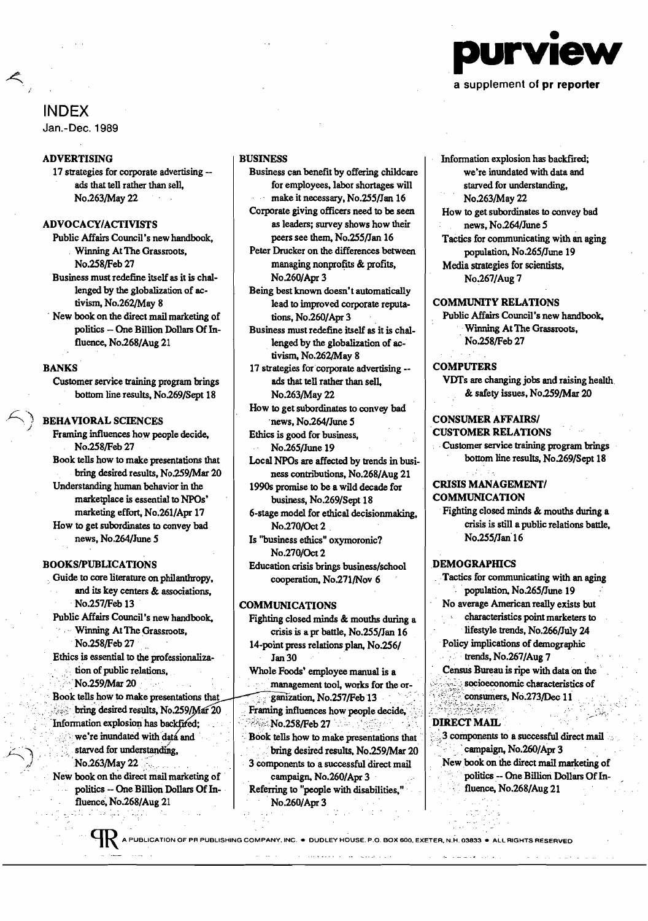

#### a supplement of pr reporter

# INDEX

Jan.-Dec. 1989

# ADVERTISING

17 strategies for corporate advertising ads that tell rather than sell, No.263/May22

#### ADVOCACY/ACTIVISTS

Public Affairs Council's newhandbook, Winning At The Grassroots, No.2S8/Feb 27

Business must redefine itself as it is challenged by the globalization of activism, No.262/May 8

New book on the direct mail marketing of politics - One Billion Dollars Of Influence, No.268/Aug 21

## BANKS

Customer service training program brings bottom line results, No.269/Sept 18

#### BEHAVIORAL SCIENCES

Framing influences how people decide, No.258/Feb 27 Book tells how to make presentations that bring desired results, No.259/Mar 20 Understanding human behavior in the marketplace is essential to NPOs' marketing effort, No.261/Apr 17 How to get subordinates to convey bad news, No.264/June 5

# BOOKS/PUBLICATIONS

Guide to core literature on philanthropy, and its key centers & associations, No.257/Feb 13 Public Affairs Council's newhandbook,

Winning At The Grassroots. No.258/Feb 27

Ethics is essential to the professionalization of public relations, No.259/Mar 20

Book tells how to make presentations that bring desired results, No.259/Mar 20 Information explosion has backfired;  $\sim$  we're inundated with data and starved for understanding. No.263/May 22.

New book on the direct mail marketing of politics -- One Billion Dollars Of Influence, No.268/Aug 21

# BUSINESS

Business can benefit by offering childcare for employees, labor shortages will make it necessary, No.255/Jan 16

Corporate giving officers need to be seen as leaders; survey shows how their peers see them, No.255/Jan 16

Peter Drucker on the differences between managing nonprofits & profits. No.260/Apr3

Being best known doesn't automatically lead to improved corporate reputations, No.260/Apr3

Business must redefine itself as it is challenged by the globalization of activism, No.262/May 8

17 strategies for corporate advertising -ads that tell rather than sell, No.263/May22

How to get subordinates to convey bad news, No.264/June 5

Ethics is good for business, No.265/June 19

Local NPOs are affected by trends in business contributions, No.268/Aug 21

1990s promise to be a wild decade for business, No.269/Sept 18

6·stage model for ethical decisionmaking, No.270/Oct2 ,

Is "business ethics" oxymoronic? No.270/Oct 2

Education crisis brings business/school cooperation, No.271/Nov 6

# **COMMUNICATIONS**

Fighting closed minds & mouths during a crisis is a pr battle, No.2S5/Jan16 14-point press relations plan, No.256/ Jan 30

Whole Foods' employee manual is a management tool, works for the organization, No.257/Feb 13.

Framing influences how people decide,  $\therefore$ :<br>No.258/Feb 27

Book tells how to make presentations that

bring desired results, No.259/Mar 20

3 components to a successful direct mail campaign, No.260/Apr 3 Referring to "people with disabilities,"

No.260/Apr3

 $\omega = \omega - \omega$ 

Information explosion has backfired; we're inundated with data and starved for understanding, No.263/May22

How to get subordinates to convey bad news, No.264/June 5

Tactics for communicating with an aging population, No.265/June 19 Media strategies for scientists, No.267/Aug7

#### COMMUNITY RELATIONS

Public Affairs Council's new handbook, ," Winning At The Grassroots, No.258/Feb 27

#### **COMPUTERS**

VDTs are changing jobs and raising health. & safety issues, No.2S9/Mar20

#### CONSUMER AFFAIRS/ CUSTOMER RELATIONS

Customer service training program brings bottom line results, No.269/Sept 18

# CRISIS MANAGEMENT/ **COMMUNICATION**

Fighting closed minds & mouths during a crisis is still a public relations battle, No.2S5/Jan'16

#### **DEMOGRAPHICS**

Tactics for communicating with an aging population, No.265/June 19 No average American really exists but characteristics point marketers to lifestyle trends, No.266/July 24 Policy implications of demographic trends, No.267/Aug 7

' Census Bureau is ripe with data on the' socioeconomic characteristics of consumers, No.273/Dec 11

#### $\mathcal{L}^{\text{c}}\rightarrow\mathcal{L}^{\text{c}}$  is the solution of the field frequency of  $\mathcal{L}^{\text{c}}$ DIRECT MAIL

3 components to a successful direct mail campaign, No.260/Apr 3 New book on the direct mail marketing of politics -- One Billion Dollars Of Influence, No.268/Aug 21

N PUBLICATION OF PR PUBLISHING COMPANY, INC. • DUDLEY HOUSE, P.O. BOX 600. EXETER, N.H. 03833 · ALL RIGHTS RESERVED

 $\mathbf{r}$  and  $\mathbf{r}$  are the set of the set of the set of the set of the set of the set of the set of the set of the set of the set of the set of the set of the set of the set of the set of the set of the set of the set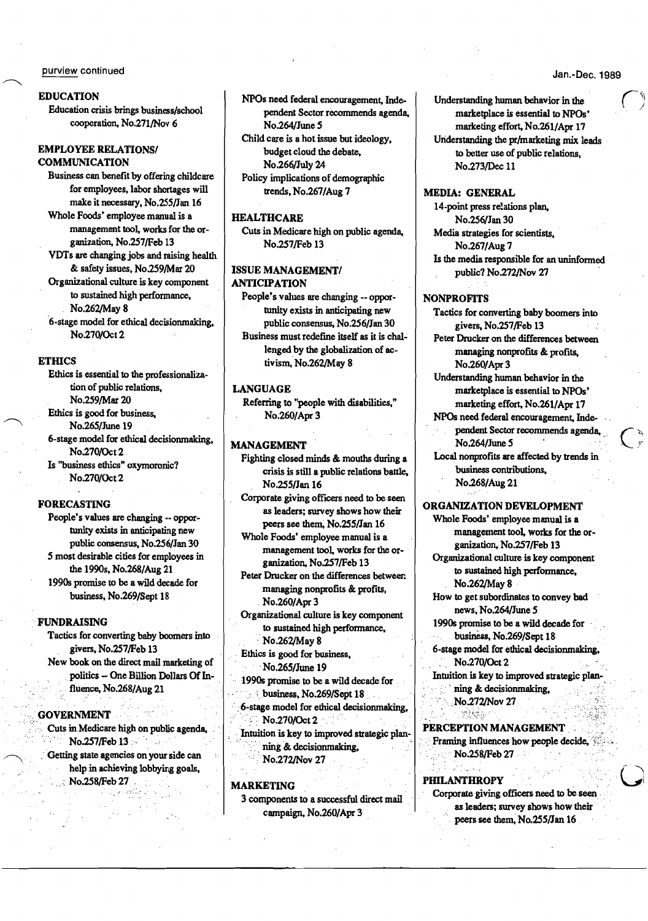#### purview continued

### **EDUCATION**

Education crisis brings business/school cooperation, No.271/Nov 6

## **EMPLOYEE RELATIONS/ COMMUNICATION**

Business can benefit by offering childcare for employees, labor shortages will make it necessary, No.255/Jan 16

Whole Foods' employee manual is a management tool, works for the organization, No.257/Feb 13

VDTs are changing jobs and raising health & safety issues, No.259/Mar 20

Organizational culture is key component to sustained high performance, No.262/May 8

6-stage model for ethical decisionmaking. No.270/Oct 2

# **ETHICS**

Ethics is essential to the professionalization of public relations. No.259/Mar 20 Ethics is good for business. No.265/June 19 6-stage model for ethical decisionmaking, No.270/Oct 2 Is "business ethics" oxymoronic? No.270/Oct 2

## **FORECASTING**

People's values are changing -- opportunity exists in anticipating new public consensus, No.256/Jan 30 5 most desirable cities for employees in the 1990s, No.268/Aug 21 1990s promise to be a wild decade for business, No.269/Sept 18

#### **FUNDRAISING**

Tactics for converting baby boomers into givers, No.257/Feb 13 New book on the direct mail marketing of politics - One Billion Dollars Of Influence, No.268/Aug 21

#### **GOVERNMENT**

Cuts in Medicare high on public agenda, No.257/Feb 13 Getting state agencies on your side can

help in achieving lobbying goals, No.258/Feb 27

NPOs need federal encouragement, Independent Sector recommends agenda, No.264/June 5 Child care is a hot issue but ideology,

budget cloud the debate, No.266/July 24 Policy implications of demographic

trends, No.267/Aug 7

# **HEALTHCARE**

Cuts in Medicare high on public agenda, No.257/Feb 13

#### **ISSUE MANAGEMENT/ ANTICIPATION**

People's values are changing -- opportunity exists in anticipating new public consensus, No.256/Jan 30 Business must redefine itself as it is challenged by the globalization of activism, No.262/May 8

#### **LANGUAGE**

Referring to "people with disabilities." No.260/Apr 3

#### **MANAGEMENT**

Fighting closed minds & mouths during a crisis is still a public relations battle, No.255/Jan 16

Corporate giving officers need to be seen as leaders; survey shows how their peers see them. No.255/Jan 16

Whole Foods' employee manual is a management tool, works for the organization, No.257/Feb 13

Peter Drucker on the differences between managing nonprofits & profits, No.260/Apr 3

Organizational culture is key component to sustained high performance, No.262/May 8

Ethics is good for business,

No.265/June 19

1990s promise to be a wild decade for. business, No.269/Sept 18

6-stage model for ethical decisionmaking, No.270/Oct 2

Intuition is key to improved strategic planning & decisionmaking. No.272/Nov 27

#### **MARKETING**

3 components to a successful direct mail campaign, No.260/Apr 3

Jan.-Dec. 1989

Understanding human behavior in the marketplace is essential to NPOs' marketing effort, No.261/Apr 17 Understanding the pr/marketing mix leads to better use of public relations, No.273/Dec 11

# **MEDIA: GENERAL**

14-point press relations plan, No.256/Jan 30 Media strategies for scientists. No.267/Aug 7 Is the media responsible for an uninformed public? No.272/Nov 27

# **NONPROFITS**

Tactics for converting baby boomers into givers, No.257/Feb 13

Peter Drucker on the differences between managing nonprofits & profits, No.260/Apr 3

Understanding human behavior in the marketplace is essential to NPOs' marketing effort, No.261/Apr 17

NPOs need federal encouragement, Independent Sector recommends agenda, No.264/June 5

Local nonprofits are affected by trends in business contributions, No.268/Aug 21

ORGANIZATION DEVELOPMENT Whole Foods' employee manual is a

management tool, works for the organization, No.257/Feb 13

Organizational culture is key component to sustained high performance, No.262/May 8

How to get subordinates to convey bad news, No.264/June 5

1990s promise to be a wild decade for business, No.269/Sept 18

6-stage model for ethical decisionmaking, No.270/Oct 2

Intuition is key to improved strategic planning & decisionmaking, No.272/Nov 27

# PERCEPTION MANAGEMENT

yekele

Framing influences how people decide, No.258/Feb 27

#### وبالمعارية أأكل **PHILANTHROPY**

Corporate giving officers need to be seen as leaders; survey shows how their peers see them, No.255/Jan 16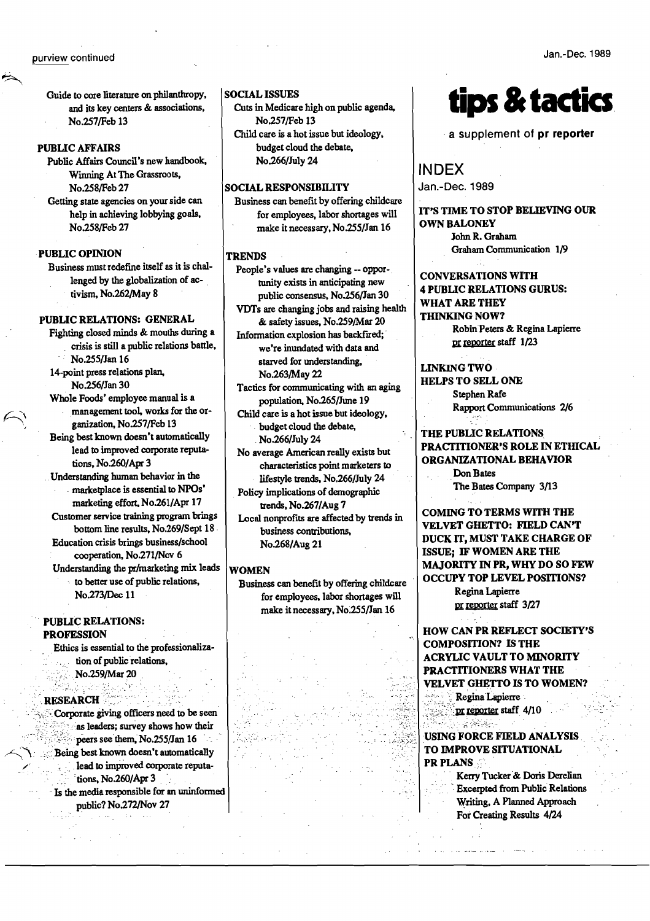#### purview continued

Guide to core literature on philanthropy, and its key centers & associations, No.257/Feb 13

#### **PUBLIC AFFAIRS**

Public Affairs Council's new handbook, Winning At The Grassroots, No.258/Feb 27

Getting state agencies on your side can help in achieving lobbying goals, No.258/Feb 27

#### **PUBLIC OPINION**

Business must redefine itself as it is challenged by the globalization of activism, No.262/May 8

## PUBLIC RELATIONS: GENERAL

Fighting closed minds & mouths during a crisis is still a public relations battle, No.255/Jan 16

14-point press relations plan, No.256/Jan 30

Whole Foods' employee manual is a management tool, works for the organization, No.257/Feb 13

Being best known doesn't automatically lead to improved corporate reputations, No.260/Apr 3

Understanding human behavior in the marketplace is essential to NPOs' marketing effort, No.261/Apr 17

Customer service training program brings bottom line results, No.269/Sept 18

Education crisis brings business/school cooperation, No.271/Nov 6 Understanding the pr/marketing mix leads

to better use of public relations,

No.273/Dec 11

#### **PUBLIC RELATIONS: PROFESSION**

Ethics is essential to the professionalization of public relations. No.259/Mar 20

#### **RESEARCH**

Corporate giving officers need to be seen as leaders; survey shows how their peers see them, No.255/Jan 16 Being best known doesn't automatically lead to improved corporate reputations, No.260/Apr 3 Is the media responsible for an uninformed

public? No.272/Nov 27

## **SOCIAL ISSUES**

Cuts in Medicare high on public agenda, No.257/Feb 13

Child care is a hot issue but ideology, budget cloud the debate, No.266/July 24

#### **SOCIAL RESPONSIBILITY**

Business can benefit by offering childcare for employees, labor shortages will make it necessary, No.255/Jan 16

# **TRENDS**

People's values are changing -- opportunity exists in anticipating new public consensus, No.256/Jan 30 VDTs are changing jobs and raising health

& safety issues, No.259/Mar 20 Information explosion has backfired; we're inundated with data and starved for understanding.

No.263/May 22 Tactics for communicating with an aging

population, No.265/June 19 Child care is a hot issue but ideology,

budget cloud the debate, No.266/July 24

No average American really exists but characteristics point marketers to lifestyle trends, No.266/July 24

Policy implications of demographic trends, No.267/Aug 7

Local nonprofits are affected by trends in business contributions, No.268/Aug 21

#### WOMEN

Business can benefit by offering childcare for employees, labor shortages will make it necessary, No.255/Jan 16

# **tips & tactics**

a supplement of pr reporter

**INDEX** Jan.-Dec. 1989

IT'S TIME TO STOP BELIEVING OUR **OWN BALONEY** John R. Graham Graham Communication 1/9

**CONVERSATIONS WITH 4 PUBLIC RELATIONS GURUS: WHAT ARE THEY THINKING NOW?** 

> Robin Peters & Regina Lapierre pr reporter staff 1/23

**LINKING TWO HELPS TO SELL ONE** 

Stephen Rafe **Rapport Communications 2/6** 

# THE PUBLIC RELATIONS **PRACTITIONER'S ROLE IN ETHICAL** ORGANIZATIONAL BEHAVIOR

Don Bates The Bates Company 3/13

**COMING TO TERMS WITH THE** VELVET GHETTO: FIELD CAN'T DUCK IT, MUST TAKE CHARGE OF ISSUE; IF WOMEN ARE THE MAJORITY IN PR, WHY DO SO FEW **OCCUPY TOP LEVEL POSITIONS?** 

Regina Lapierre pr reporter staff 3/27

**HOW CAN PR REFLECT SOCIETY'S COMPOSITION? IS THE ACRYLIC VAULT TO MINORITY** PRACTITIONERS WHAT THE **VELVET GHETTO IS TO WOMEN?** 

> Regina Lapierre pr reporter staff 4/10

**客宾客** USING FORCE FIELD ANALYSIS TO IMPROVE SITUATIONAL **PR PLANS** 

> Kerry Tucker & Doris Derelian **Excerpted from Public Relations** Writing, A Planned Approach For Creating Results 4/24